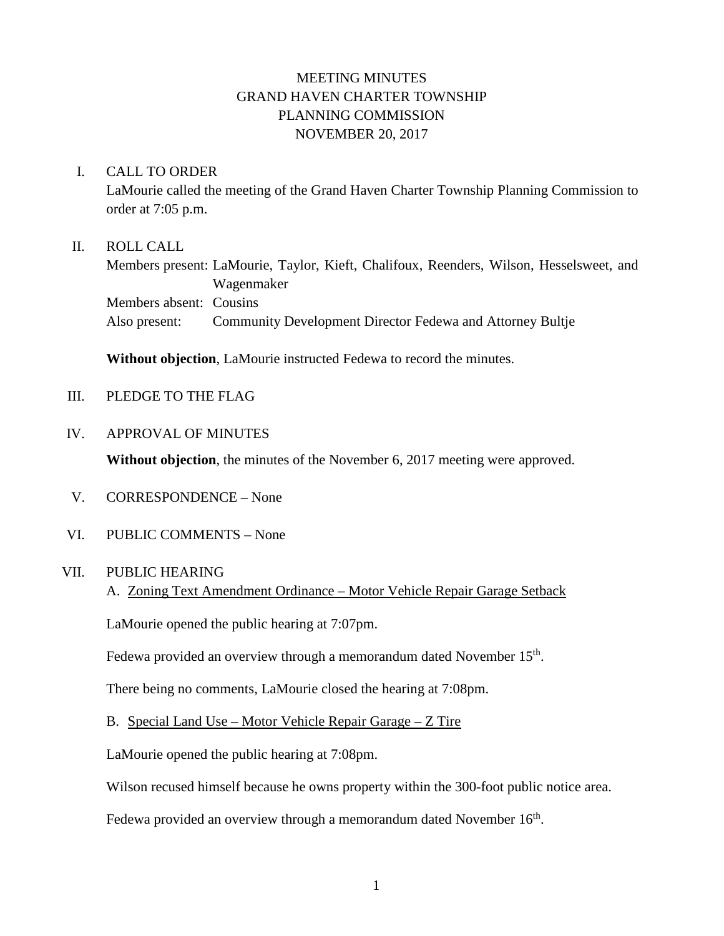# MEETING MINUTES GRAND HAVEN CHARTER TOWNSHIP PLANNING COMMISSION NOVEMBER 20, 2017

### I. CALL TO ORDER

LaMourie called the meeting of the Grand Haven Charter Township Planning Commission to order at 7:05 p.m.

#### II. ROLL CALL

Members present: LaMourie, Taylor, Kieft, Chalifoux, Reenders, Wilson, Hesselsweet, and Wagenmaker Members absent: Cousins Also present: Community Development Director Fedewa and Attorney Bultje

**Without objection**, LaMourie instructed Fedewa to record the minutes.

- III. PLEDGE TO THE FLAG
- IV. APPROVAL OF MINUTES

**Without objection**, the minutes of the November 6, 2017 meeting were approved.

- V. CORRESPONDENCE None
- VI. PUBLIC COMMENTS None

### VII. PUBLIC HEARING

A. Zoning Text Amendment Ordinance – Motor Vehicle Repair Garage Setback

LaMourie opened the public hearing at 7:07pm.

Fedewa provided an overview through a memorandum dated November  $15<sup>th</sup>$ .

There being no comments, LaMourie closed the hearing at 7:08pm.

B. Special Land Use – Motor Vehicle Repair Garage – Z Tire

LaMourie opened the public hearing at 7:08pm.

Wilson recused himself because he owns property within the 300-foot public notice area.

Fedewa provided an overview through a memorandum dated November  $16<sup>th</sup>$ .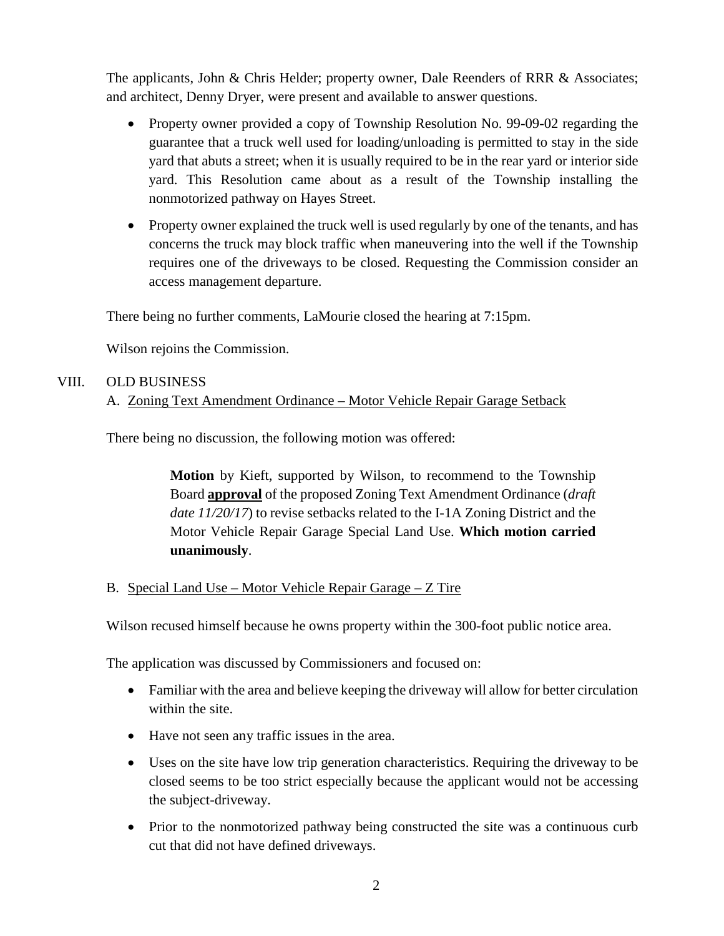The applicants, John & Chris Helder; property owner, Dale Reenders of RRR & Associates; and architect, Denny Dryer, were present and available to answer questions.

- Property owner provided a copy of Township Resolution No. 99-09-02 regarding the guarantee that a truck well used for loading/unloading is permitted to stay in the side yard that abuts a street; when it is usually required to be in the rear yard or interior side yard. This Resolution came about as a result of the Township installing the nonmotorized pathway on Hayes Street.
- Property owner explained the truck well is used regularly by one of the tenants, and has concerns the truck may block traffic when maneuvering into the well if the Township requires one of the driveways to be closed. Requesting the Commission consider an access management departure.

There being no further comments, LaMourie closed the hearing at 7:15pm.

Wilson rejoins the Commission.

## VIII. OLD BUSINESS

## A. Zoning Text Amendment Ordinance – Motor Vehicle Repair Garage Setback

There being no discussion, the following motion was offered:

**Motion** by Kieft, supported by Wilson, to recommend to the Township Board **approval** of the proposed Zoning Text Amendment Ordinance (*draft date 11/20/17*) to revise setbacks related to the I-1A Zoning District and the Motor Vehicle Repair Garage Special Land Use. **Which motion carried unanimously**.

B. Special Land Use – Motor Vehicle Repair Garage – Z Tire

Wilson recused himself because he owns property within the 300-foot public notice area.

The application was discussed by Commissioners and focused on:

- Familiar with the area and believe keeping the driveway will allow for better circulation within the site.
- Have not seen any traffic issues in the area.
- Uses on the site have low trip generation characteristics. Requiring the driveway to be closed seems to be too strict especially because the applicant would not be accessing the subject-driveway.
- Prior to the nonmotorized pathway being constructed the site was a continuous curb cut that did not have defined driveways.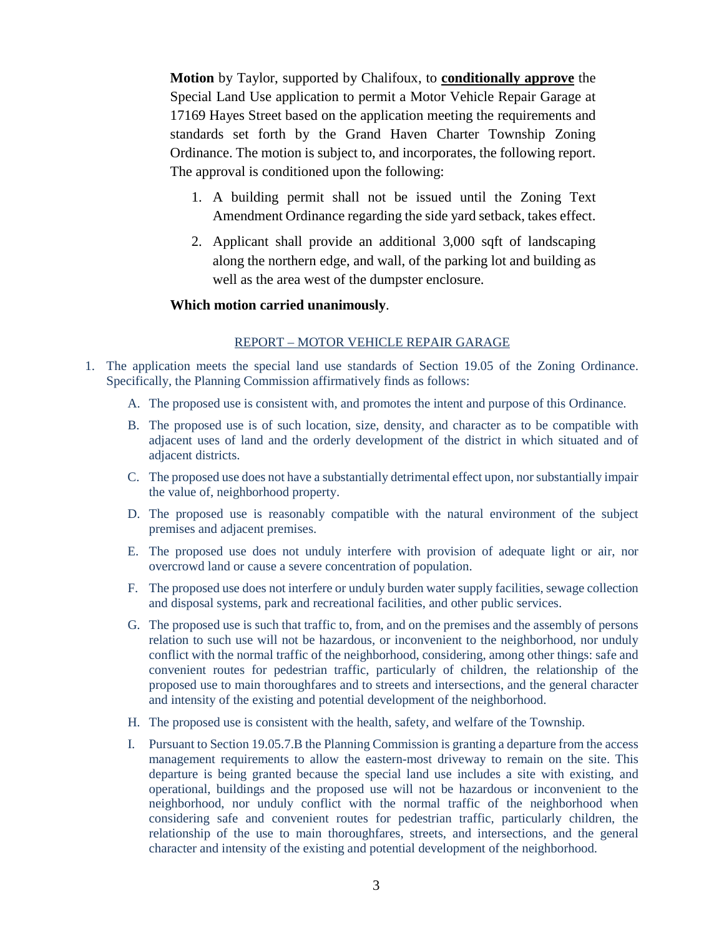**Motion** by Taylor, supported by Chalifoux, to **conditionally approve** the Special Land Use application to permit a Motor Vehicle Repair Garage at 17169 Hayes Street based on the application meeting the requirements and standards set forth by the Grand Haven Charter Township Zoning Ordinance. The motion is subject to, and incorporates, the following report. The approval is conditioned upon the following:

- 1. A building permit shall not be issued until the Zoning Text Amendment Ordinance regarding the side yard setback, takes effect.
- 2. Applicant shall provide an additional 3,000 sqft of landscaping along the northern edge, and wall, of the parking lot and building as well as the area west of the dumpster enclosure.

#### **Which motion carried unanimously**.

#### REPORT – MOTOR VEHICLE REPAIR GARAGE

- 1. The application meets the special land use standards of Section 19.05 of the Zoning Ordinance. Specifically, the Planning Commission affirmatively finds as follows:
	- A. The proposed use is consistent with, and promotes the intent and purpose of this Ordinance.
	- B. The proposed use is of such location, size, density, and character as to be compatible with adjacent uses of land and the orderly development of the district in which situated and of adjacent districts.
	- C. The proposed use does not have a substantially detrimental effect upon, nor substantially impair the value of, neighborhood property.
	- D. The proposed use is reasonably compatible with the natural environment of the subject premises and adjacent premises.
	- E. The proposed use does not unduly interfere with provision of adequate light or air, nor overcrowd land or cause a severe concentration of population.
	- F. The proposed use does not interfere or unduly burden water supply facilities, sewage collection and disposal systems, park and recreational facilities, and other public services.
	- G. The proposed use is such that traffic to, from, and on the premises and the assembly of persons relation to such use will not be hazardous, or inconvenient to the neighborhood, nor unduly conflict with the normal traffic of the neighborhood, considering, among other things: safe and convenient routes for pedestrian traffic, particularly of children, the relationship of the proposed use to main thoroughfares and to streets and intersections, and the general character and intensity of the existing and potential development of the neighborhood.
	- H. The proposed use is consistent with the health, safety, and welfare of the Township.
	- I. Pursuant to Section 19.05.7.B the Planning Commission is granting a departure from the access management requirements to allow the eastern-most driveway to remain on the site. This departure is being granted because the special land use includes a site with existing, and operational, buildings and the proposed use will not be hazardous or inconvenient to the neighborhood, nor unduly conflict with the normal traffic of the neighborhood when considering safe and convenient routes for pedestrian traffic, particularly children, the relationship of the use to main thoroughfares, streets, and intersections, and the general character and intensity of the existing and potential development of the neighborhood.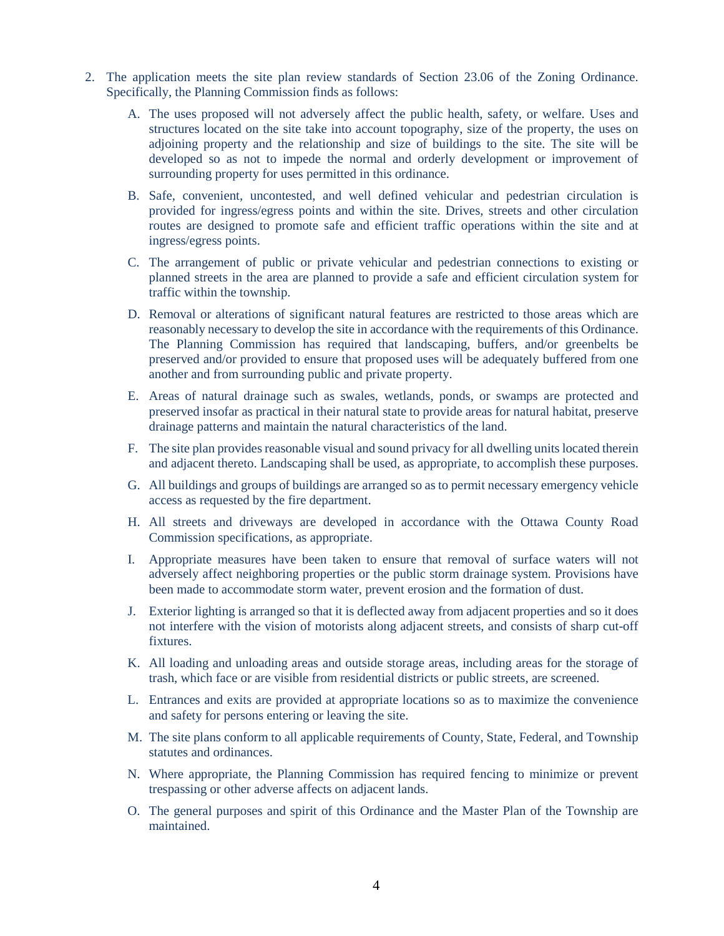- 2. The application meets the site plan review standards of Section 23.06 of the Zoning Ordinance. Specifically, the Planning Commission finds as follows:
	- A. The uses proposed will not adversely affect the public health, safety, or welfare. Uses and structures located on the site take into account topography, size of the property, the uses on adjoining property and the relationship and size of buildings to the site. The site will be developed so as not to impede the normal and orderly development or improvement of surrounding property for uses permitted in this ordinance.
	- B. Safe, convenient, uncontested, and well defined vehicular and pedestrian circulation is provided for ingress/egress points and within the site. Drives, streets and other circulation routes are designed to promote safe and efficient traffic operations within the site and at ingress/egress points.
	- C. The arrangement of public or private vehicular and pedestrian connections to existing or planned streets in the area are planned to provide a safe and efficient circulation system for traffic within the township.
	- D. Removal or alterations of significant natural features are restricted to those areas which are reasonably necessary to develop the site in accordance with the requirements of this Ordinance. The Planning Commission has required that landscaping, buffers, and/or greenbelts be preserved and/or provided to ensure that proposed uses will be adequately buffered from one another and from surrounding public and private property.
	- E. Areas of natural drainage such as swales, wetlands, ponds, or swamps are protected and preserved insofar as practical in their natural state to provide areas for natural habitat, preserve drainage patterns and maintain the natural characteristics of the land.
	- F. The site plan provides reasonable visual and sound privacy for all dwelling units located therein and adjacent thereto. Landscaping shall be used, as appropriate, to accomplish these purposes.
	- G. All buildings and groups of buildings are arranged so as to permit necessary emergency vehicle access as requested by the fire department.
	- H. All streets and driveways are developed in accordance with the Ottawa County Road Commission specifications, as appropriate.
	- I. Appropriate measures have been taken to ensure that removal of surface waters will not adversely affect neighboring properties or the public storm drainage system. Provisions have been made to accommodate storm water, prevent erosion and the formation of dust.
	- J. Exterior lighting is arranged so that it is deflected away from adjacent properties and so it does not interfere with the vision of motorists along adjacent streets, and consists of sharp cut-off fixtures.
	- K. All loading and unloading areas and outside storage areas, including areas for the storage of trash, which face or are visible from residential districts or public streets, are screened.
	- L. Entrances and exits are provided at appropriate locations so as to maximize the convenience and safety for persons entering or leaving the site.
	- M. The site plans conform to all applicable requirements of County, State, Federal, and Township statutes and ordinances.
	- N. Where appropriate, the Planning Commission has required fencing to minimize or prevent trespassing or other adverse affects on adjacent lands.
	- O. The general purposes and spirit of this Ordinance and the Master Plan of the Township are maintained.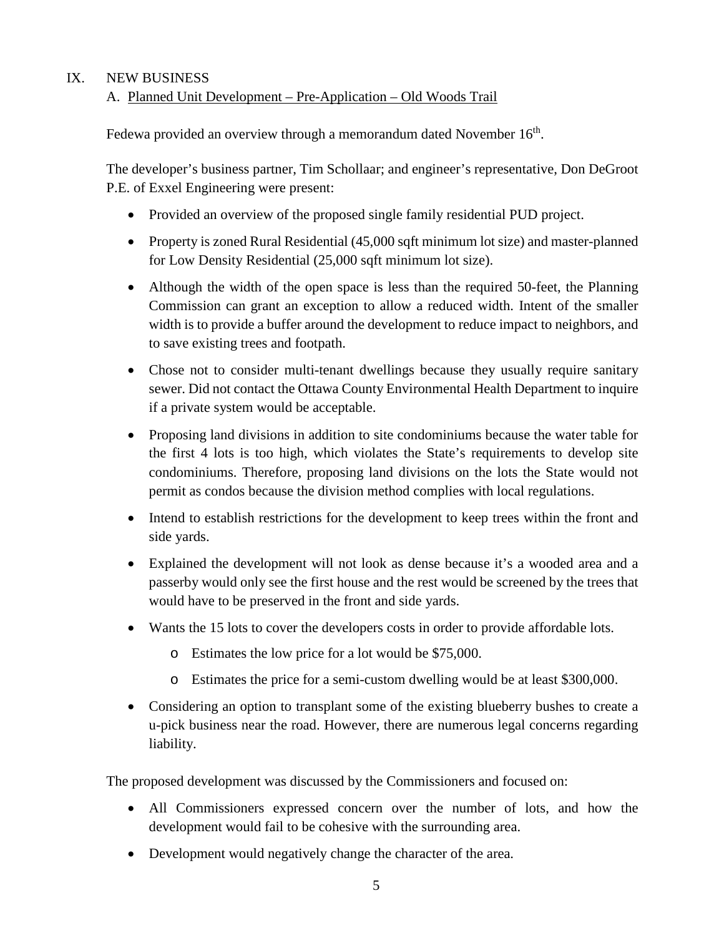### IX. NEW BUSINESS

### A. Planned Unit Development – Pre-Application – Old Woods Trail

Fedewa provided an overview through a memorandum dated November  $16<sup>th</sup>$ .

The developer's business partner, Tim Schollaar; and engineer's representative, Don DeGroot P.E. of Exxel Engineering were present:

- Provided an overview of the proposed single family residential PUD project.
- Property is zoned Rural Residential (45,000 sqft minimum lot size) and master-planned for Low Density Residential (25,000 sqft minimum lot size).
- Although the width of the open space is less than the required 50-feet, the Planning Commission can grant an exception to allow a reduced width. Intent of the smaller width is to provide a buffer around the development to reduce impact to neighbors, and to save existing trees and footpath.
- Chose not to consider multi-tenant dwellings because they usually require sanitary sewer. Did not contact the Ottawa County Environmental Health Department to inquire if a private system would be acceptable.
- Proposing land divisions in addition to site condominiums because the water table for the first 4 lots is too high, which violates the State's requirements to develop site condominiums. Therefore, proposing land divisions on the lots the State would not permit as condos because the division method complies with local regulations.
- Intend to establish restrictions for the development to keep trees within the front and side yards.
- Explained the development will not look as dense because it's a wooded area and a passerby would only see the first house and the rest would be screened by the trees that would have to be preserved in the front and side yards.
- Wants the 15 lots to cover the developers costs in order to provide affordable lots.
	- o Estimates the low price for a lot would be \$75,000.
	- o Estimates the price for a semi-custom dwelling would be at least \$300,000.
- Considering an option to transplant some of the existing blueberry bushes to create a u-pick business near the road. However, there are numerous legal concerns regarding liability.

The proposed development was discussed by the Commissioners and focused on:

- All Commissioners expressed concern over the number of lots, and how the development would fail to be cohesive with the surrounding area.
- Development would negatively change the character of the area.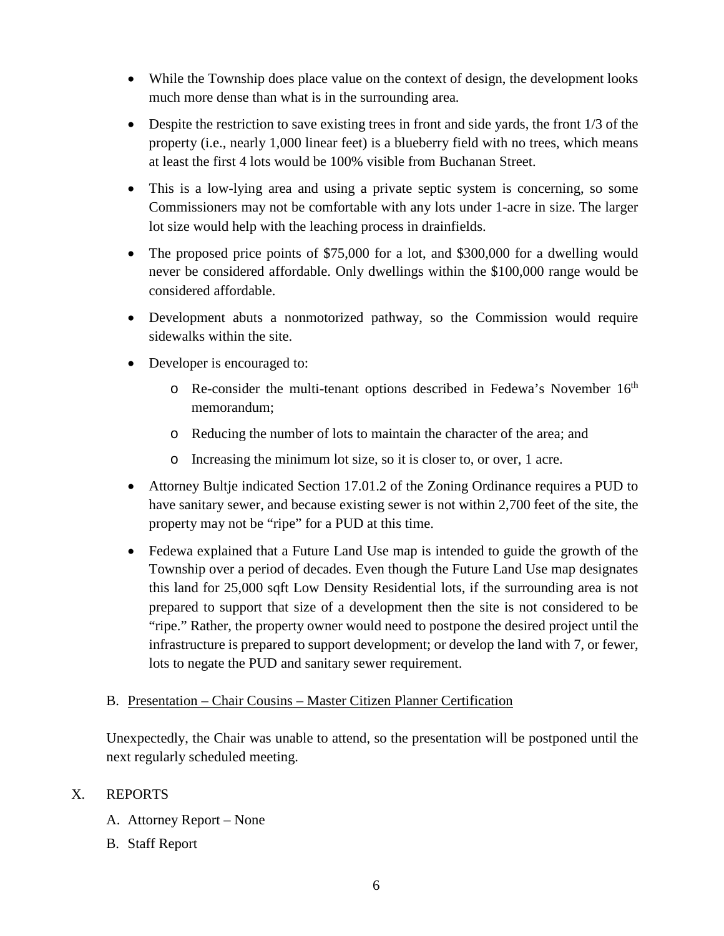- While the Township does place value on the context of design, the development looks much more dense than what is in the surrounding area.
- Despite the restriction to save existing trees in front and side yards, the front  $1/3$  of the property (i.e., nearly 1,000 linear feet) is a blueberry field with no trees, which means at least the first 4 lots would be 100% visible from Buchanan Street.
- This is a low-lying area and using a private septic system is concerning, so some Commissioners may not be comfortable with any lots under 1-acre in size. The larger lot size would help with the leaching process in drainfields.
- The proposed price points of \$75,000 for a lot, and \$300,000 for a dwelling would never be considered affordable. Only dwellings within the \$100,000 range would be considered affordable.
- Development abuts a nonmotorized pathway, so the Commission would require sidewalks within the site.
- Developer is encouraged to:
	- $\circ$  Re-consider the multi-tenant options described in Fedewa's November 16<sup>th</sup> memorandum;
	- o Reducing the number of lots to maintain the character of the area; and
	- o Increasing the minimum lot size, so it is closer to, or over, 1 acre.
- Attorney Bultje indicated Section 17.01.2 of the Zoning Ordinance requires a PUD to have sanitary sewer, and because existing sewer is not within 2,700 feet of the site, the property may not be "ripe" for a PUD at this time.
- Fedewa explained that a Future Land Use map is intended to guide the growth of the Township over a period of decades. Even though the Future Land Use map designates this land for 25,000 sqft Low Density Residential lots, if the surrounding area is not prepared to support that size of a development then the site is not considered to be "ripe." Rather, the property owner would need to postpone the desired project until the infrastructure is prepared to support development; or develop the land with 7, or fewer, lots to negate the PUD and sanitary sewer requirement.

### B. Presentation – Chair Cousins – Master Citizen Planner Certification

Unexpectedly, the Chair was unable to attend, so the presentation will be postponed until the next regularly scheduled meeting.

# X. REPORTS

- A. Attorney Report None
- B. Staff Report